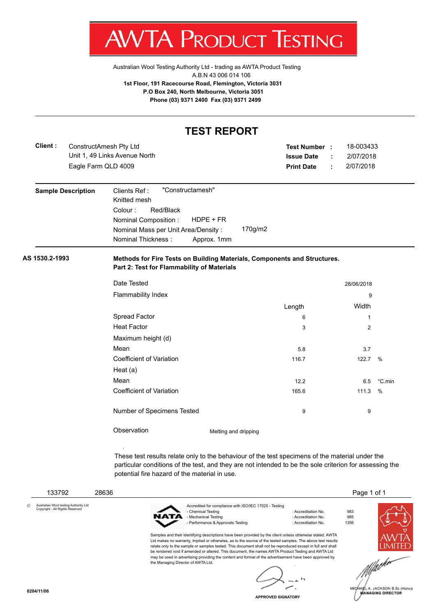

Australian Wool Testing Authority Ltd - trading as AWTA Product Testing A.B.N 43 006 014 106 1st Floor, 191 Racecourse Road, Flemington, Victoria 3031 P.O Box 240, North Melbourne, Victoria 3051 Phone (03) 9371 2400 Fax (03) 9371 2499

### **TEST REPORT**

| Client:        | Eagle Farm QLD 4009       | ConstructAmesh Pty Ltd<br>Unit 1, 49 Links Avenue North                                                                                                       |                             |         | <b>Test Number:</b><br><b>Issue Date</b><br><b>Print Date</b> | ÷ | 18-003433<br>2/07/2018<br>2/07/2018 |        |  |  |  |  |  |  |
|----------------|---------------------------|---------------------------------------------------------------------------------------------------------------------------------------------------------------|-----------------------------|---------|---------------------------------------------------------------|---|-------------------------------------|--------|--|--|--|--|--|--|
|                | <b>Sample Description</b> | "Constructamesh"<br>Clients Ref:<br>Knitted mesh<br>Colour:<br>Red/Black<br>Nominal Composition:<br>Nominal Mass per Unit Area/Density:<br>Nominal Thickness: | $H$ DPE + FR<br>Approx. 1mm | 170g/m2 |                                                               |   |                                     |        |  |  |  |  |  |  |
| AS 1530.2-1993 |                           | Methods for Fire Tests on Building Materials, Components and Structures.<br>Part 2: Test for Flammability of Materials                                        |                             |         |                                                               |   |                                     |        |  |  |  |  |  |  |
|                |                           | Date Tested                                                                                                                                                   |                             |         |                                                               |   | 28/06/2018                          |        |  |  |  |  |  |  |
|                |                           | Flammability Index                                                                                                                                            |                             |         |                                                               |   | 9                                   |        |  |  |  |  |  |  |
|                |                           |                                                                                                                                                               |                             |         | Length                                                        |   | Width                               |        |  |  |  |  |  |  |
|                |                           | Spread Factor                                                                                                                                                 |                             |         | 6                                                             |   | 1                                   |        |  |  |  |  |  |  |
|                |                           | <b>Heat Factor</b>                                                                                                                                            |                             |         | 3                                                             |   | $\overline{2}$                      |        |  |  |  |  |  |  |
|                |                           | Maximum height (d)                                                                                                                                            |                             |         |                                                               |   |                                     |        |  |  |  |  |  |  |
|                |                           | Mean                                                                                                                                                          |                             |         | 5.8                                                           |   | 3.7                                 |        |  |  |  |  |  |  |
|                |                           | <b>Coefficient of Variation</b>                                                                                                                               |                             |         | 116.7                                                         |   | 122.7                               | %      |  |  |  |  |  |  |
|                |                           | Heat $(a)$                                                                                                                                                    |                             |         |                                                               |   |                                     |        |  |  |  |  |  |  |
|                |                           | Mean                                                                                                                                                          |                             |         | 12.2                                                          |   | 6.5                                 | °C.min |  |  |  |  |  |  |
|                |                           | Coefficient of Variation                                                                                                                                      |                             |         | 165.6                                                         |   | 111.3                               | %      |  |  |  |  |  |  |
|                |                           | Number of Specimens Tested                                                                                                                                    |                             |         | 9                                                             |   | 9                                   |        |  |  |  |  |  |  |
|                |                           | Observation                                                                                                                                                   | Melting and dripping        |         |                                                               |   |                                     |        |  |  |  |  |  |  |

These test results relate only to the behaviour of the test specimens of the material under the particular conditions of the test, and they are not intended to be the sole criterion for assessing the potential fire hazard of the material in use.



NAGING DIRECTOR

 $\mathbb{C}$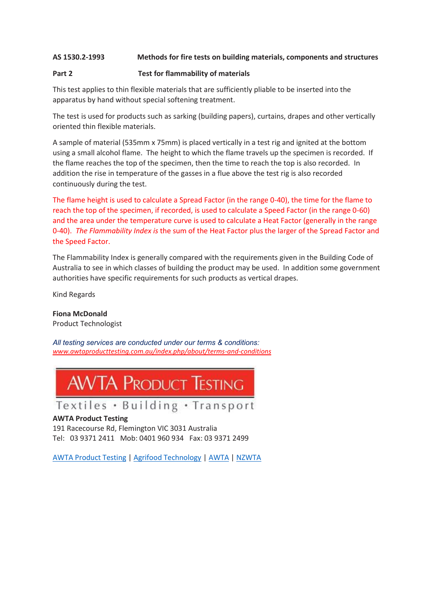### **AS 1530.2-1993 Methods for fire tests on building materials, components and structures**

#### **Part 2** Test for flammability of materials

This test applies to thin flexible materials that are sufficiently pliable to be inserted into the apparatus by hand without special softening treatment.

The test is used for products such as sarking (building papers), curtains, drapes and other vertically oriented thin flexible materials.

A sample of material (535mm x 75mm) is placed vertically in a test rig and ignited at the bottom using a small alcohol flame. The height to which the flame travels up the specimen is recorded. If the flame reaches the top of the specimen, then the time to reach the top is also recorded. In addition the rise in temperature of the gasses in a flue above the test rig is also recorded continuously during the test.

The flame height is used to calculate a Spread Factor (in the range 0-40), the time for the flame to reach the top of the specimen, if recorded, is used to calculate a Speed Factor (in the range 0-60) and the area under the temperature curve is used to calculate a Heat Factor (generally in the range 0-40). *The Flammability Index is* the sum of the Heat Factor plus the larger of the Spread Factor and the Speed Factor.

The Flammability Index is generally compared with the requirements given in the Building Code of Australia to see in which classes of building the product may be used. In addition some government authorities have specific requirements for such products as vertical drapes.

Kind Regards

**Fiona McDonald** Product Technologist

*All testing services are conducted under our terms & conditions: www.awtaproducttesting.com.au/index.php/about/terms-and-conditions*



Textiles · Building · Transport

#### **AWTA Product Testing**

191 Racecourse Rd, Flemington VIC 3031 Australia Tel: 03 9371 2411 Mob: 0401 960 934 Fax: 03 9371 2499

AWTA Product Testing | Agrifood Technology | AWTA | NZWTA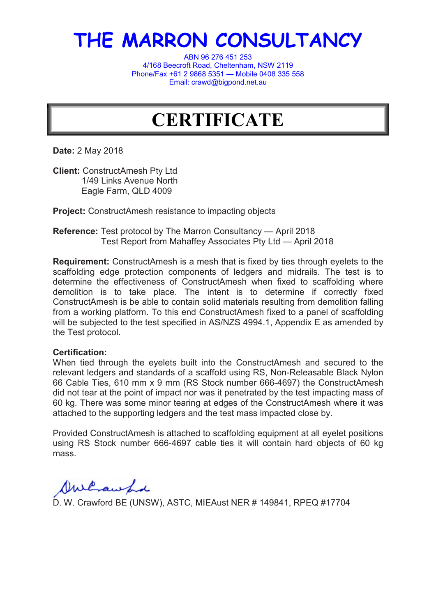# **THE MARRON CONSULTANCY**

ABN 96 276 451 253 4/168 Beecroft Road, Cheltenham, NSW 2119 Phone/Fax +61 2 9868 5351 — Mobile 0408 335 558 Email: crawd@bigpond.net.au

## **CERTIFICATE**

**Date:** 2 May 2018

**Client:** ConstructAmesh Pty Ltd 1/49 Links Avenue North Eagle Farm, QLD 4009

**Project:** ConstructAmesh resistance to impacting objects

**Reference:** Test protocol by The Marron Consultancy — April 2018 Test Report from Mahaffey Associates Pty Ltd — April 2018

**Requirement:** ConstructAmesh is a mesh that is fixed by ties through eyelets to the scaffolding edge protection components of ledgers and midrails. The test is to determine the effectiveness of ConstructAmesh when fixed to scaffolding where demolition is to take place. The intent is to determine if correctly fixed ConstructAmesh is be able to contain solid materials resulting from demolition falling from a working platform. To this end ConstructAmesh fixed to a panel of scaffolding will be subjected to the test specified in AS/NZS 4994.1, Appendix E as amended by the Test protocol.

### **Certification:**

When tied through the eyelets built into the ConstructAmesh and secured to the relevant ledgers and standards of a scaffold using RS, Non-Releasable Black Nylon 66 Cable Ties, 610 mm x 9 mm (RS Stock number 666-4697) the ConstructAmesh did not tear at the point of impact nor was it penetrated by the test impacting mass of 60 kg. There was some minor tearing at edges of the ConstructAmesh where it was attached to the supporting ledgers and the test mass impacted close by.

Provided ConstructAmesh is attached to scaffolding equipment at all eyelet positions using RS Stock number 666-4697 cable ties it will contain hard objects of 60 kg mass.

Dulaward

D. W. Crawford BE (UNSW), ASTC, MIEAust NER # 149841, RPEQ #17704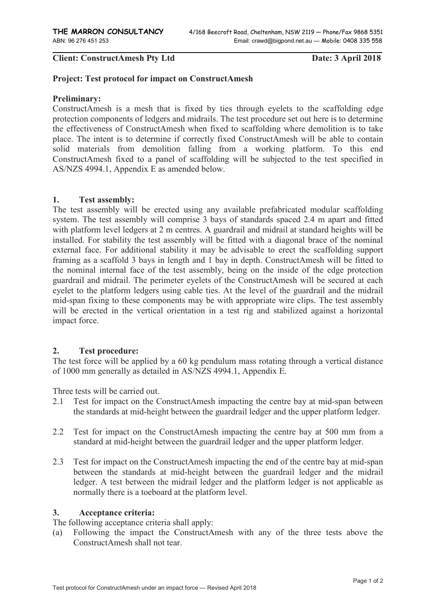### **Client: ConstructAmesh Pty Ltd Date: 3 April 2018**

### **Project: Test protocol for impact on ConstructAmesh**

### **Preliminary:**

ConstructAmesh is a mesh that is fixed by ties through eyelets to the scaffolding edge protection components of ledgers and midrails. The test procedure set out here is to determine the effectiveness of ConstructAmesh when fixed to scaffolding where demolition is to take place. The intent is to determine if correctly fixed ConstructAmesh will be able to contain solid materials from demolition falling from a working platform. To this end ConstructAmesh fixed to a panel of scaffolding will be subjected to the test specified in AS/NZS 4994.1, Appendix E as amended below.

**\_\_\_\_\_\_\_\_\_\_\_\_\_\_\_\_\_\_\_\_\_\_\_\_\_\_\_\_\_\_\_\_\_\_\_\_\_\_\_\_\_\_\_\_\_\_\_\_\_\_\_\_\_\_\_\_\_\_\_\_\_\_\_\_\_\_\_\_\_\_\_\_\_\_\_\_\_\_\_\_\_\_\_\_\_\_\_\_\_\_**

#### **1. Test assembly:**

The test assembly will be erected using any available prefabricated modular scaffolding system. The test assembly will comprise 3 bays of standards spaced 2.4 m apart and fitted with platform level ledgers at 2 m centres. A guardrail and midrail at standard heights will be installed. For stability the test assembly will be fitted with a diagonal brace of the nominal external face. For additional stability it may be advisable to erect the scaffolding support framing as a scaffold 3 bays in length and 1 bay in depth. ConstructAmesh will be fitted to the nominal internal face of the test assembly, being on the inside of the edge protection guardrail and midrail. The perimeter eyelets of the ConstructAmesh will be secured at each eyelet to the platform ledgers using cable ties. At the level of the guardrail and the midrail mid-span fixing to these components may be with appropriate wire clips. The test assembly will be erected in the vertical orientation in a test rig and stabilized against a horizontal impact force.

### **2. Test procedure:**

The test force will be applied by a 60 kg pendulum mass rotating through a vertical distance of 1000 mm generally as detailed in AS/NZS 4994.1, Appendix E.

Three tests will be carried out.

- 2.1 Test for impact on the ConstructAmesh impacting the centre bay at mid-span between the standards at mid-height between the guardrail ledger and the upper platform ledger.
- 2.2 Test for impact on the ConstructAmesh impacting the centre bay at 500 mm from a standard at mid-height between the guardrail ledger and the upper platform ledger.
- 2.3 Test for impact on the ConstructAmesh impacting the end of the centre bay at mid-span between the standards at mid-height between the guardrail ledger and the midrail ledger. A test between the midrail ledger and the platform ledger is not applicable as normally there is a toeboard at the platform level.

#### **3. Acceptance criteria:**

The following acceptance criteria shall apply:

(a) Following the impact the ConstructAmesh with any of the three tests above the ConstructAmesh shall not tear.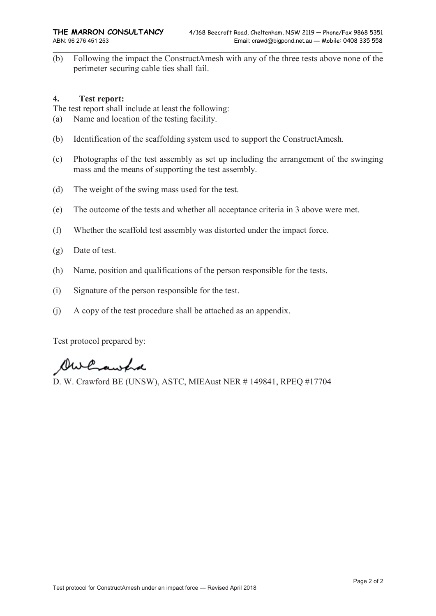**\_\_\_\_\_\_\_\_\_\_\_\_\_\_\_\_\_\_\_\_\_\_\_\_\_\_\_\_\_\_\_\_\_\_\_\_\_\_\_\_\_\_\_\_\_\_\_\_\_\_\_\_\_\_\_\_\_\_\_\_\_\_\_\_\_\_\_\_\_\_\_\_\_\_\_\_\_\_\_\_\_\_\_\_\_\_\_\_\_\_** (b) Following the impact the ConstructAmesh with any of the three tests above none of the perimeter securing cable ties shall fail.

### **4. Test report:**

The test report shall include at least the following:

- (a) Name and location of the testing facility.
- (b) Identification of the scaffolding system used to support the ConstructAmesh.
- (c) Photographs of the test assembly as set up including the arrangement of the swinging mass and the means of supporting the test assembly.
- (d) The weight of the swing mass used for the test.
- (e) The outcome of the tests and whether all acceptance criteria in 3 above were met.
- (f) Whether the scaffold test assembly was distorted under the impact force.
- (g) Date of test.
- (h) Name, position and qualifications of the person responsible for the tests.
- (i) Signature of the person responsible for the test.
- (j) A copy of the test procedure shall be attached as an appendix.

Test protocol prepared by:

Owlaware

D. W. Crawford BE (UNSW), ASTC, MIEAust NER # 149841, RPEQ #17704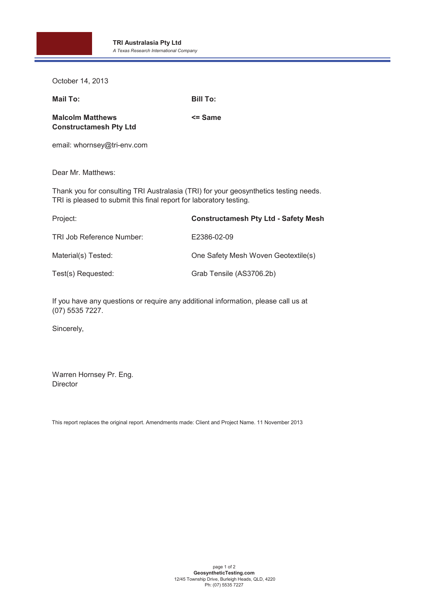October 14, 2013

| Mail To:                                                                                                                                                   | <b>Bill To:</b>                             |
|------------------------------------------------------------------------------------------------------------------------------------------------------------|---------------------------------------------|
| <b>Malcolm Matthews</b><br><b>Constructamesh Pty Ltd</b>                                                                                                   | <= Same                                     |
| email: whornsey@tri-env.com                                                                                                                                |                                             |
| Dear Mr. Matthews:                                                                                                                                         |                                             |
| Thank you for consulting TRI Australasia (TRI) for your geosynthetics testing needs.<br>TRI is pleased to submit this final report for laboratory testing. |                                             |
| Project:                                                                                                                                                   | <b>Constructamesh Pty Ltd - Safety Mesh</b> |
| TRI Job Reference Number:                                                                                                                                  | E2386-02-09                                 |

Test(s) Requested: Grab Tensile (AS3706.2b)

Material(s) Tested: Case Cone Safety Mesh Woven Geotextile(s)

If you have any questions or require any additional information, please call us at (07) 5535 7227.

Sincerely,

Warren Hornsey Pr. Eng. Director

This report replaces the original report. Amendments made: Client and Project Name. 11 November 2013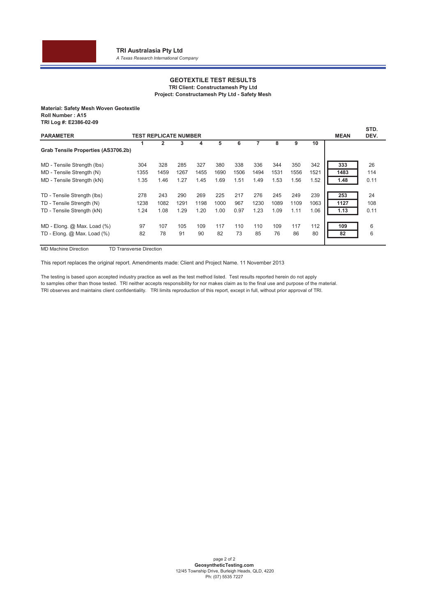#### **GEOTEXTILE TEST RESULTS TRI Client: Constructamesh Pty Ltd Project: Constructamesh Pty Ltd - Safety Mesh**

**Material: Safety Mesh Woven Geotextile Roll Number : A15 TRI Log #: E2386-02-09**

|                                     |                              |      |      |      |      |      |      |      |      |      |             | STD. |
|-------------------------------------|------------------------------|------|------|------|------|------|------|------|------|------|-------------|------|
| <b>PARAMETER</b>                    | <b>TEST REPLICATE NUMBER</b> |      |      |      |      |      |      |      |      |      | <b>MEAN</b> | DEV. |
|                                     |                              | 2    | 3    | 4    | 5    | 6    |      | 8    | 9    | 10   |             |      |
| Grab Tensile Properties (AS3706.2b) |                              |      |      |      |      |      |      |      |      |      |             |      |
| MD - Tensile Strength (lbs)         | 304                          | 328  | 285  | 327  | 380  | 338  | 336  | 344  | 350  | 342  | 333         | 26   |
| MD - Tensile Strength (N)           | 1355                         | 1459 | 1267 | 1455 | 1690 | 1506 | 1494 | 1531 | 1556 | 1521 | 1483        | 114  |
| MD - Tensile Strength (kN)          | 1.35                         | 1.46 | 1.27 | 1.45 | 1.69 | 1.51 | 1.49 | 1.53 | 1.56 | 1.52 | 1.48        | 0.11 |
| TD - Tensile Strength (lbs)         | 278                          | 243  | 290  | 269  | 225  | 217  | 276  | 245  | 249  | 239  | 253         | 24   |
| TD - Tensile Strength (N)           | 1238                         | 1082 | 1291 | 1198 | 1000 | 967  | 1230 | 1089 | 1109 | 1063 | 1127        | 108  |
| TD - Tensile Strength (kN)          | 1.24                         | 1.08 | 1.29 | 1.20 | 1.00 | 0.97 | 1.23 | 1.09 | 1.11 | 1.06 | 1.13        | 0.11 |
| $MD - Elong. @ Max. Load (%)$       | 97                           | 107  | 105  | 109  | 117  | 110  | 110  | 109  | 117  | 112  | 109         | 6    |
| TD - Elong. @ Max. Load (%)         | 82                           | 78   | 91   | 90   | 82   | 73   | 85   | 76   | 86   | 80   | 82          | 6    |
|                                     |                              |      |      |      |      |      |      |      |      |      |             |      |

MD Machine Direction TD Transverse Direction

This report replaces the original report. Amendments made: Client and Project Name. 11 November 2013

The testing is based upon accepted industry practice as well as the test method listed. Test results reported herein do not apply to samples other than those tested. TRI neither accepts responsibility for nor makes claim as to the final use and purpose of the material. TRI observes and maintains client confidentiality. TRI limits reproduction of this report, except in full, without prior approval of TRI.

> page 2 of 2 **GeosyntheticTesting.com**<br>12/45 Township Drive, Burleigh Heads, QLD, 4220 Ph: (07) 5535 7227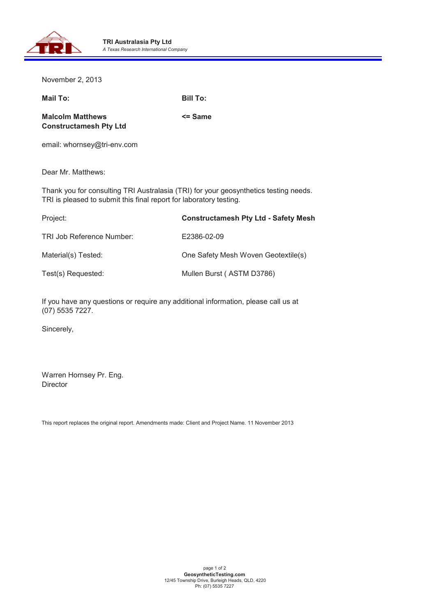

November 2, 2013

| Mail To:                                                                                                                                                   | <b>Bill To:</b>                             |
|------------------------------------------------------------------------------------------------------------------------------------------------------------|---------------------------------------------|
| <b>Malcolm Matthews</b><br><b>Constructamesh Pty Ltd</b>                                                                                                   | <= Same                                     |
| email: whornsey@tri-env.com                                                                                                                                |                                             |
| Dear Mr. Matthews:                                                                                                                                         |                                             |
| Thank you for consulting TRI Australasia (TRI) for your geosynthetics testing needs.<br>TRI is pleased to submit this final report for laboratory testing. |                                             |
| Project:                                                                                                                                                   | <b>Constructamesh Pty Ltd - Safety Mesh</b> |
| TRI Job Reference Number:                                                                                                                                  | E2386-02-09                                 |
| Material(s) Tested:                                                                                                                                        | One Safety Mesh Woven Geotextile(s)         |
| Test(s) Requested:                                                                                                                                         | Mullen Burst (ASTM D3786)                   |

If you have any questions or require any additional information, please call us at (07) 5535 7227.

Sincerely,

Warren Hornsey Pr. Eng. Director

This report replaces the original report. Amendments made: Client and Project Name. 11 November 2013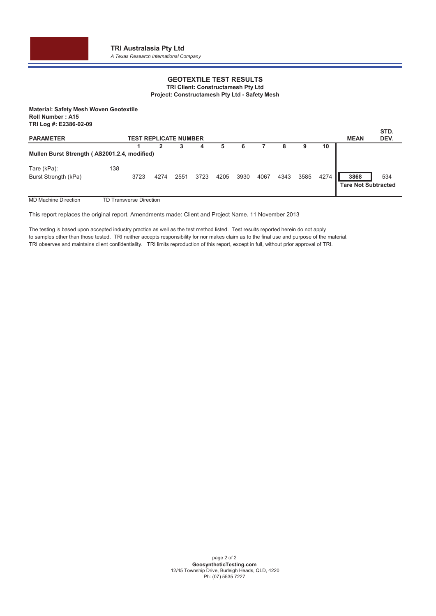#### **GEOTEXTILE TEST RESULTS TRI Client: Constructamesh Pty Ltd Project: Constructamesh Pty Ltd - Safety Mesh**

**Material: Safety Mesh Woven Geotextile Roll Number : A15 TRI Log #: E2386-02-09**

| <b>PARAMETER</b>                             |     | <b>TEST REPLICATE NUMBER</b> |      |      |      |      |      |      |      |      |      | <b>MEAN</b>                | STD.<br>DEV. |
|----------------------------------------------|-----|------------------------------|------|------|------|------|------|------|------|------|------|----------------------------|--------------|
|                                              |     |                              |      |      | 4    |      | 6    |      | 8    | 9    | 10   |                            |              |
| Mullen Burst Strength (AS2001.2.4, modified) |     |                              |      |      |      |      |      |      |      |      |      |                            |              |
| Tare (kPa):                                  | 138 |                              |      |      |      |      |      |      |      |      |      |                            |              |
| Burst Strength (kPa)                         |     | 3723                         | 4274 | 2551 | 3723 | 4205 | 3930 | 4067 | 4343 | 3585 | 4274 | 3868                       | 534          |
|                                              |     |                              |      |      |      |      |      |      |      |      |      | <b>Tare Not Subtracted</b> |              |

MD Machine Direction TD Transverse Direction

This report replaces the original report. Amendments made: Client and Project Name. 11 November 2013

The testing is based upon accepted industry practice as well as the test method listed. Test results reported herein do not apply to samples other than those tested. TRI neither accepts responsibility for nor makes claim as to the final use and purpose of the material. TRI observes and maintains client confidentiality. TRI limits reproduction of this report, except in full, without prior approval of TRI.

> page 2 of 2 **GeosyntheticTesting.com** 12/45 Township Drive, Burleigh Heads, QLD, 4220 Ph: (07) 5535 7227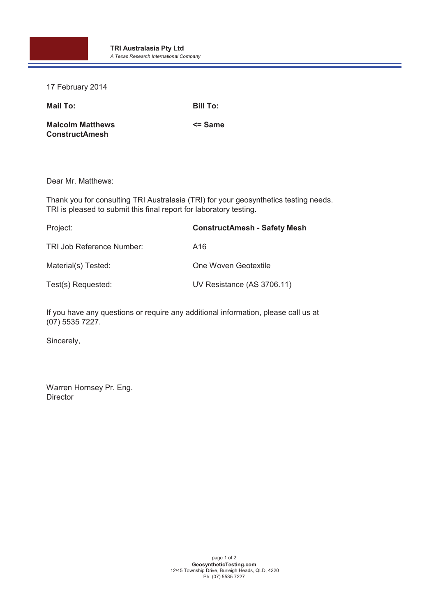17 February 2014

**Mail To: Bill To:**

**Malcolm Matthews <= Same ConstructAmesh**

Dear Mr. Matthews:

Thank you for consulting TRI Australasia (TRI) for your geosynthetics testing needs. TRI is pleased to submit this final report for laboratory testing.

| Project:                  | <b>ConstructAmesh - Safety Mesh</b> |
|---------------------------|-------------------------------------|
| TRI Job Reference Number: | A16                                 |
| Material(s) Tested:       | One Woven Geotextile                |
| Test(s) Requested:        | UV Resistance (AS 3706.11)          |

If you have any questions or require any additional information, please call us at (07) 5535 7227.

Sincerely,

Warren Hornsey Pr. Eng. Director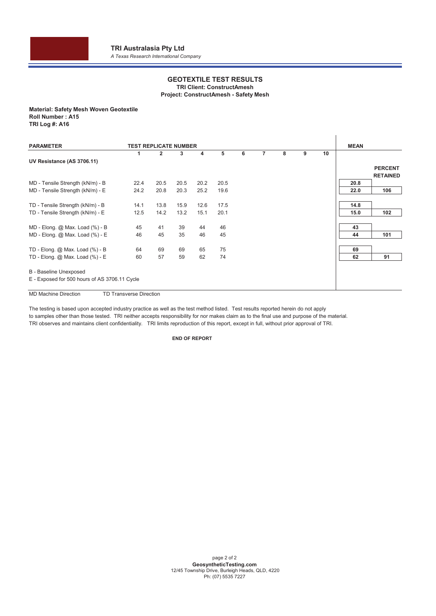#### **GEOTEXTILE TEST RESULTS TRI Client: ConstructAmesh Project: ConstructAmesh - Safety Mesh**

**Material: Safety Mesh Woven Geotextile Roll Number : A15 TRI Log #: A16**

| <b>PARAMETER</b>                              | <b>TEST REPLICATE NUMBER</b> |                |      |      |      |   |   |   |                 | <b>MEAN</b> |                 |
|-----------------------------------------------|------------------------------|----------------|------|------|------|---|---|---|-----------------|-------------|-----------------|
|                                               |                              | $\overline{2}$ | 3    | 4    | 5    | 6 | 8 | 9 | 10 <sup>1</sup> |             |                 |
| UV Resistance (AS 3706.11)                    |                              |                |      |      |      |   |   |   |                 |             |                 |
|                                               |                              |                |      |      |      |   |   |   |                 |             | <b>PERCENT</b>  |
|                                               |                              |                |      |      |      |   |   |   |                 |             | <b>RETAINED</b> |
| MD - Tensile Strength (kN/m) - B              | 22.4                         | 20.5           | 20.5 | 20.2 | 20.5 |   |   |   |                 | 20.8        |                 |
| MD - Tensile Strength (kN/m) - E              | 24.2                         | 20.8           | 20.3 | 25.2 | 19.6 |   |   |   |                 | 22.0        | 106             |
|                                               |                              |                |      |      |      |   |   |   |                 |             |                 |
| TD - Tensile Strength (kN/m) - B              | 14.1                         | 13.8           | 15.9 | 12.6 | 17.5 |   |   |   |                 | 14.8        |                 |
| TD - Tensile Strength (kN/m) - E              | 12.5                         | 14.2           | 13.2 | 15.1 | 20.1 |   |   |   |                 | 15.0        | 102             |
|                                               |                              |                |      |      |      |   |   |   |                 |             |                 |
| MD - Elong. @ Max. Load (%) - B               | 45                           | 41             | 39   | 44   | 46   |   |   |   |                 | 43          |                 |
| MD - Elong. @ Max. Load (%) - E               | 46                           | 45             | 35   | 46   | 45   |   |   |   |                 | 44          | 101             |
|                                               |                              |                |      |      |      |   |   |   |                 |             |                 |
| TD - Elong. @ Max. Load (%) - B               | 64                           | 69             | 69   | 65   | 75   |   |   |   |                 | 69          |                 |
| TD - Elong. @ Max. Load (%) - E               | 60                           | 57             | 59   | 62   | 74   |   |   |   |                 | 62          | 91              |
|                                               |                              |                |      |      |      |   |   |   |                 |             |                 |
| B - Baseline Unexposed                        |                              |                |      |      |      |   |   |   |                 |             |                 |
| E - Exposed for 500 hours of AS 3706.11 Cycle |                              |                |      |      |      |   |   |   |                 |             |                 |
|                                               |                              |                |      |      |      |   |   |   |                 |             |                 |

MD Machine Direction TD Transverse Direction

The testing is based upon accepted industry practice as well as the test method listed. Test results reported herein do not apply to samples other than those tested. TRI neither accepts responsibility for nor makes claim as to the final use and purpose of the material. TRI observes and maintains client confidentiality. TRI limits reproduction of this report, except in full, without prior approval of TRI.

**END OF REPORT**

page 2 of 2 **GeosyntheticTesting.com** 12/45 Township Drive, Burleigh Heads, QLD, 4220 Ph: (07) 5535 7227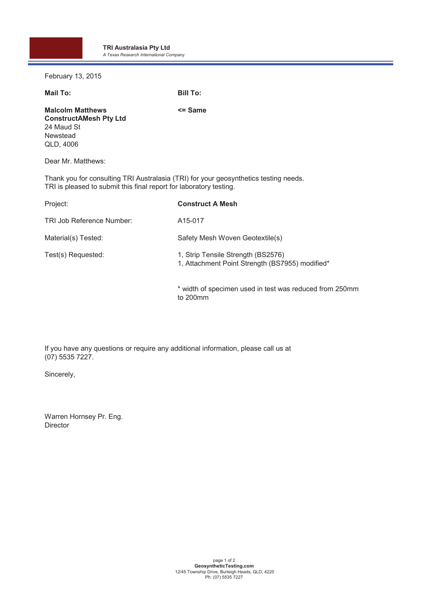February 13, 2015

**Mail To: Bill To: Malcolm Matthews <= Same ConstructAMesh Pty Ltd** 24 Maud St Newstead QLD, 4006 Dear Mr. Matthews:

Thank you for consulting TRI Australasia (TRI) for your geosynthetics testing needs. TRI is pleased to submit this final report for laboratory testing.

| Project:                  | <b>Construct A Mesh</b>                                                               |
|---------------------------|---------------------------------------------------------------------------------------|
| TRI Job Reference Number: | A15-017                                                                               |
| Material(s) Tested:       | Safety Mesh Woven Geotextile(s)                                                       |
| Test(s) Requested:        | 1, Strip Tensile Strength (BS2576)<br>1, Attachment Point Strength (BS7955) modified* |
|                           | * width of specimen used in test was reduced from 250mm                               |

to 200mm

If you have any questions or require any additional information, please call us at (07) 5535 7227.

Sincerely,

Warren Hornsey Pr. Eng. Director

> page 1 of 2 **GeosyntheticTesting.com**<br>12/45 Township Drive, Burleigh Heads, QLD, 4220<br>Ph: (07) 5535 7227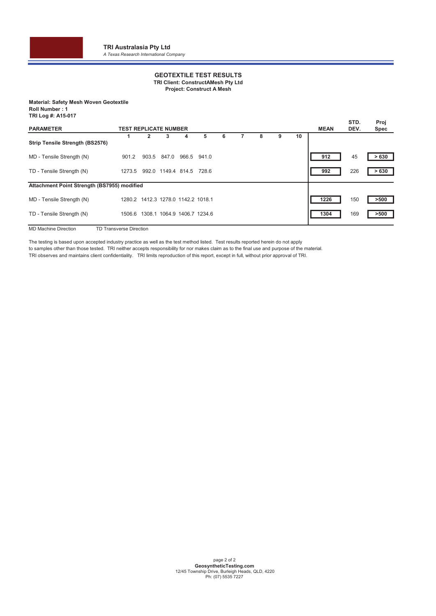#### **GEOTEXTILE TEST RESULTS TRI Client: ConstructAMesh Pty Ltd Project: Construct A Mesh**

**Material: Safety Mesh Woven Geotextile Roll Number : 1 TRI Log #: A15-017**

| <b>PARAMETER</b>                            | <b>TEST REPLICATE NUMBER</b> |              |                                    |   |             |   |   |   |    | <b>MEAN</b> | STD.<br>DEV. | Proj<br>Spec |
|---------------------------------------------|------------------------------|--------------|------------------------------------|---|-------------|---|---|---|----|-------------|--------------|--------------|
| <b>Strip Tensile Strength (BS2576)</b>      | 1                            | $\mathbf{2}$ | 3                                  | 4 | 5           | 6 | 8 | 9 | 10 |             |              |              |
| MD - Tensile Strength (N)                   | 901.2                        |              | 903.5 847.0                        |   | 966.5 941.0 |   |   |   |    | 912         | 45           | > 630        |
| TD - Tensile Strength (N)                   | 1273.5                       |              | 992.0 1149.4 814.5                 |   | 728.6       |   |   |   |    | 992         | 226          | >630         |
| Attachment Point Strength (BS7955) modified |                              |              |                                    |   |             |   |   |   |    |             |              |              |
| MD - Tensile Strength (N)                   |                              |              | 1280.2 1412.3 1278.0 1142.2 1018.1 |   |             |   |   |   |    | 1226        | 150          | $>500$       |
| TD - Tensile Strength (N)                   |                              |              | 1506.6 1308.1 1064.9 1406.7 1234.6 |   |             |   |   |   |    | 1304        | 169          | >500         |
| <b>MD Machine Direction</b>                 | TD Transverse Direction      |              |                                    |   |             |   |   |   |    |             |              |              |

The testing is based upon accepted industry practice as well as the test method listed. Test results reported herein do not apply to samples other than those tested. TRI neither accepts responsibility for nor makes claim as to the final use and purpose of the material. TRI observes and maintains client confidentiality. TRI limits reproduction of this report, except in full, without prior approval of TRI.

> page 2 of 2 **GeosyntheticTesting.com**<br>12/45 Township Drive, Burleigh Heads, QLD, 4220<br>Ph: (07) 5535 7227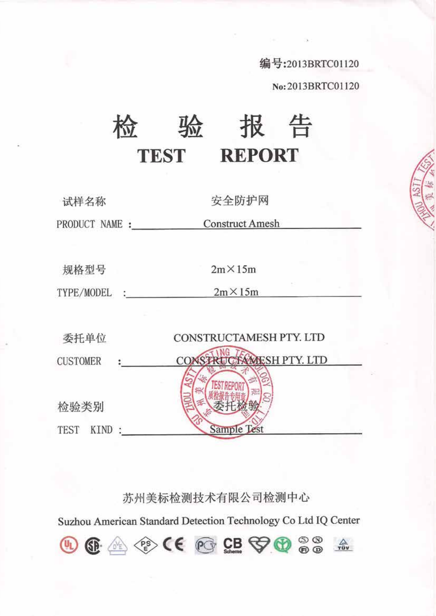编号:2013BRTC01120

No: 2013BRTC01120



| 试样名称            | 安全防护网                   |
|-----------------|-------------------------|
| PRODUCT NAME :  | <b>Construct Amesh</b>  |
| 规格型号            | $2m \times 15m$         |
| TYPE/MODEL      | $2m \times 15m$         |
| 委托单位            | CONSTRUCTAMESH PTY. LTD |
| <b>CUSTOMER</b> | CONSTRUCTAMESH PTY. LTD |
| 检验类别            |                         |
| KIND :<br>TEST  | Sample Test             |

苏州美标检测技术有限公司检测中心

Suzhou American Standard Detection Technology Co Ltd IQ Center

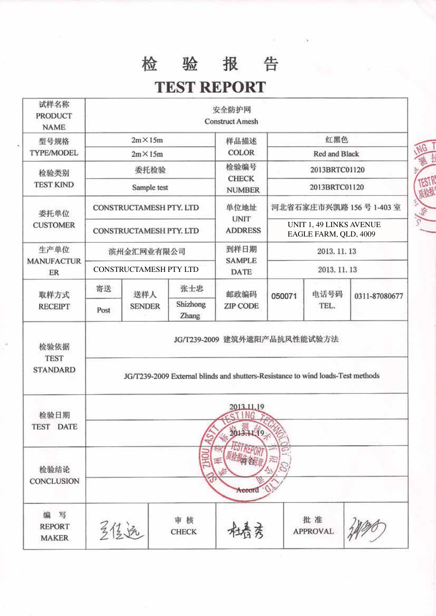检 验 报 告

## **TEST REPORT**

| 试样名称<br><b>PRODUCT</b><br><b>NAME</b> | 安全防护网<br><b>Construct Amesh</b>                                                 |                               |                    |                          |        |                                                  |                        |  |  |  |  |
|---------------------------------------|---------------------------------------------------------------------------------|-------------------------------|--------------------|--------------------------|--------|--------------------------------------------------|------------------------|--|--|--|--|
| 型号规格                                  |                                                                                 | $2m \times 15m$               |                    | 样品描述                     |        | 红黑色                                              |                        |  |  |  |  |
| TYPE/MODEL                            |                                                                                 | $2m \times 15m$               |                    | <b>COLOR</b>             |        | Red and Black                                    |                        |  |  |  |  |
| 检验类别                                  |                                                                                 | 委托检验                          |                    | 检验编号<br><b>CHECK</b>     |        | 2013BRTC01120                                    |                        |  |  |  |  |
| <b>TEST KIND</b>                      |                                                                                 | Sample test                   |                    | <b>NUMBER</b>            |        | 2013BRTC01120                                    |                        |  |  |  |  |
| 委托单位                                  |                                                                                 | CONSTRUCTAMESH PTY. LTD       |                    | 单位地址<br><b>UNIT</b>      |        |                                                  | 河北省石家庄市兴凯路 156号 1-403室 |  |  |  |  |
| <b>CUSTOMER</b>                       |                                                                                 | CONSTRUCTAMESH PTY. LTD       |                    | <b>ADDRESS</b>           |        | UNIT 1, 49 LINKS AVENUE<br>EAGLE FARM, QLD, 4009 |                        |  |  |  |  |
| 生产单位<br><b>MANUFACTUR</b>             |                                                                                 | 滨州金汇网业有限公司                    |                    | 到样日期<br><b>SAMPLE</b>    |        | 2013.11.13                                       |                        |  |  |  |  |
| ER                                    |                                                                                 | <b>CONSTRUCTAMESH PTY LTD</b> |                    | <b>DATE</b>              |        | 2013. 11. 13                                     |                        |  |  |  |  |
| 取样方式                                  | 寄送                                                                              | 送样人                           | 张士忠                | 邮政编码                     | 050071 | 电话号码                                             | 0311-87080677          |  |  |  |  |
| <b>RECEIPT</b>                        | Post                                                                            | <b>SENDER</b>                 | Shizhong<br>Zhang  | ZIP CODE                 |        | TEL.                                             |                        |  |  |  |  |
| 检验依据<br><b>TEST</b>                   |                                                                                 | JG/T239-2009 建筑外遮阳产品抗风性能试验方法  |                    |                          |        |                                                  |                        |  |  |  |  |
| <b>STANDARD</b>                       | JG/T239-2009 External blinds and shutters-Resistance to wind loads-Test methods |                               |                    |                          |        |                                                  |                        |  |  |  |  |
| 检验日期                                  |                                                                                 |                               |                    | 2013.11.19<br><b>ING</b> |        |                                                  |                        |  |  |  |  |
| <b>TEST DATE</b>                      |                                                                                 | ECH<br>2013.149               |                    |                          |        |                                                  |                        |  |  |  |  |
| 检验结论<br><b>CONCLUSION</b>             | <b>TEST REPORT</b><br>Gν<br>£<br>李                                              |                               |                    |                          |        |                                                  |                        |  |  |  |  |
|                                       |                                                                                 |                               |                    | Accord                   |        |                                                  |                        |  |  |  |  |
| 编写<br><b>REPORT</b><br><b>MAKER</b>   |                                                                                 | 圣气远                           | 审核<br><b>CHECK</b> | 爵秀                       |        | 批准<br><b>APPROVAL</b>                            |                        |  |  |  |  |